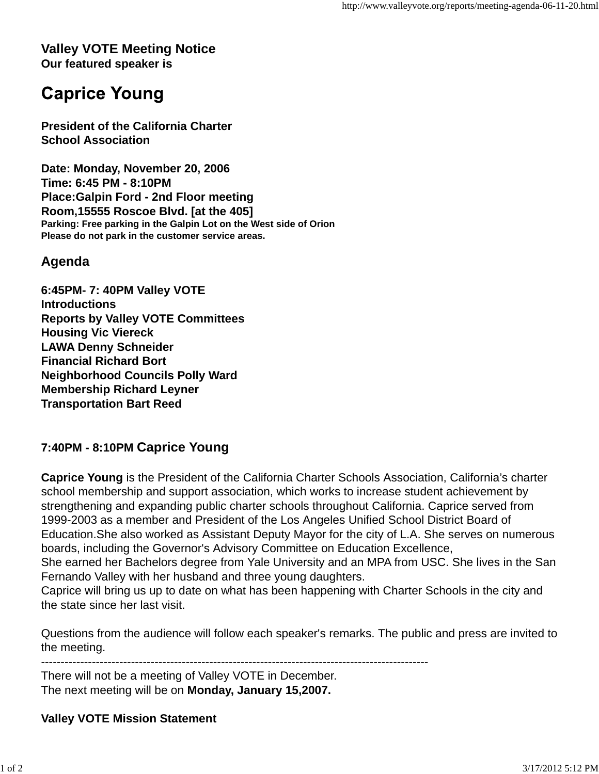#### **Valley VOTE Meeting Notice Our featured speaker is**

# **Caprice Young**

**President of the California Charter School Association**

**Date: Monday, November 20, 2006 Time: 6:45 PM - 8:10PM Place:Galpin Ford - 2nd Floor meeting Room,15555 Roscoe Blvd. [at the 405] Parking: Free parking in the Galpin Lot on the West side of Orion Please do not park in the customer service areas.**

## **Agenda**

**6:45PM- 7: 40PM Valley VOTE Introductions Reports by Valley VOTE Committees Housing Vic Viereck LAWA Denny Schneider Financial Richard Bort Neighborhood Councils Polly Ward Membership Richard Leyner Transportation Bart Reed**

### **7:40PM - 8:10PM Caprice Young**

**Caprice Young** is the President of the California Charter Schools Association, California's charter school membership and support association, which works to increase student achievement by strengthening and expanding public charter schools throughout California. Caprice served from 1999-2003 as a member and President of the Los Angeles Unified School District Board of Education.She also worked as Assistant Deputy Mayor for the city of L.A. She serves on numerous boards, including the Governor's Advisory Committee on Education Excellence,

She earned her Bachelors degree from Yale University and an MPA from USC. She lives in the San Fernando Valley with her husband and three young daughters.

Caprice will bring us up to date on what has been happening with Charter Schools in the city and the state since her last visit.

Questions from the audience will follow each speaker's remarks. The public and press are invited to the meeting.

---------------------------------------------------------------------------------------------------

There will not be a meeting of Valley VOTE in December. The next meeting will be on **Monday, January 15,2007.**

#### **Valley VOTE Mission Statement**